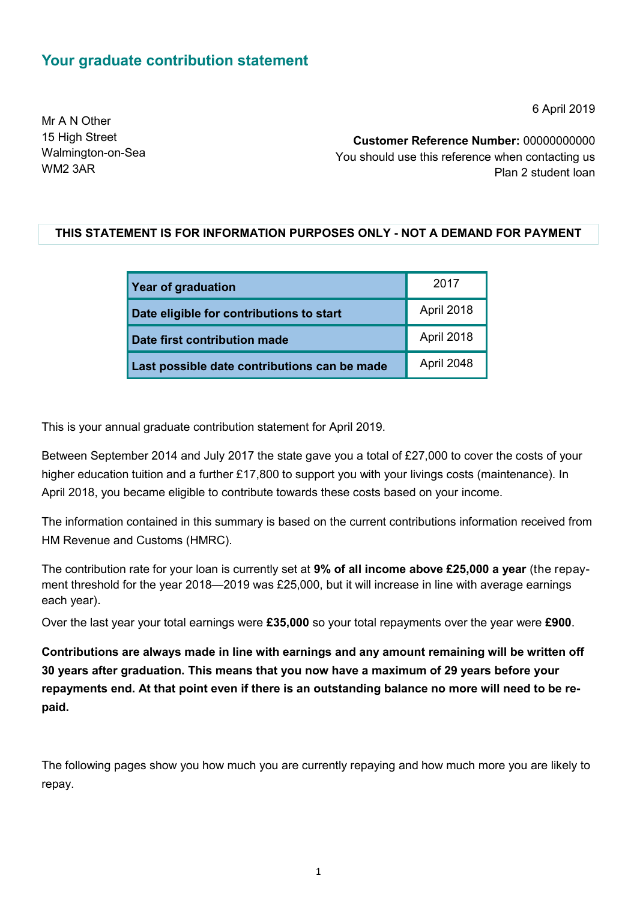## **Your graduate contribution statement**

6 April 2019

Mr A N Other 15 High Street Walmington-on-Sea WM2 3AR

**Customer Reference Number:** 00000000000 You should use this reference when contacting us Plan 2 student loan

### **THIS STATEMENT IS FOR INFORMATION PURPOSES ONLY - NOT A DEMAND FOR PAYMENT**

| <b>Year of graduation</b>                    | 2017       |
|----------------------------------------------|------------|
| Date eligible for contributions to start     | April 2018 |
| Date first contribution made                 | April 2018 |
| Last possible date contributions can be made | April 2048 |

This is your annual graduate contribution statement for April 2019.

Between September 2014 and July 2017 the state gave you a total of £27,000 to cover the costs of your higher education tuition and a further £17,800 to support you with your livings costs (maintenance). In April 2018, you became eligible to contribute towards these costs based on your income.

The information contained in this summary is based on the current contributions information received from HM Revenue and Customs (HMRC).

The contribution rate for your loan is currently set at **9% of all income above £25,000 a year** (the repayment threshold for the year 2018—2019 was £25,000, but it will increase in line with average earnings each year).

Over the last year your total earnings were **£35,000** so your total repayments over the year were **£900**.

**Contributions are always made in line with earnings and any amount remaining will be written off 30 years after graduation. This means that you now have a maximum of 29 years before your repayments end. At that point even if there is an outstanding balance no more will need to be repaid.**

The following pages show you how much you are currently repaying and how much more you are likely to repay.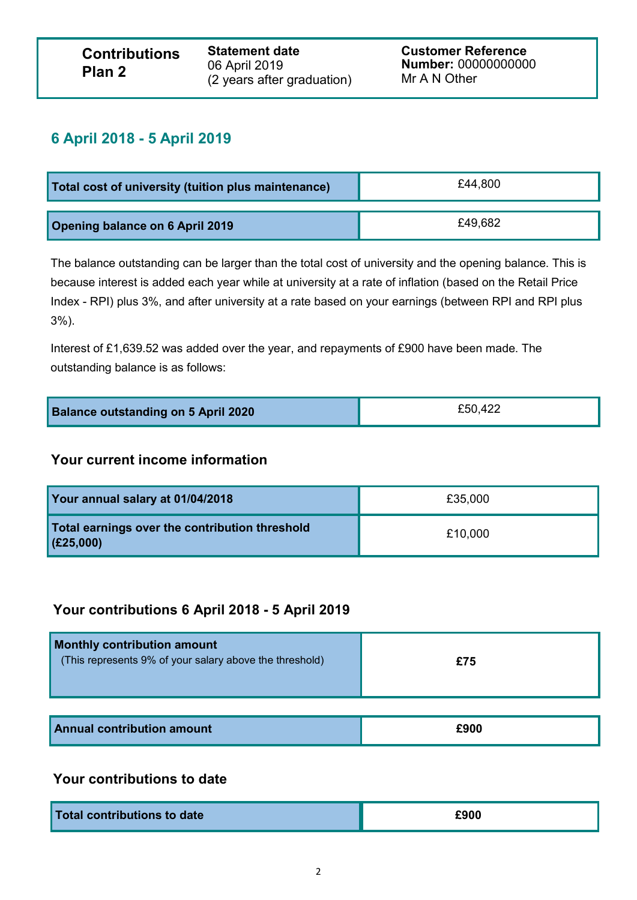**Statement date** 06 April 2019 (2 years after graduation) **Customer Reference Number:** 00000000000 Mr A N Other

## **6 April 2018 - 5 April 2019**

| Total cost of university (tuition plus maintenance) | £44.800 |
|-----------------------------------------------------|---------|
| <b>Opening balance on 6 April 2019</b>              | £49,682 |

The balance outstanding can be larger than the total cost of university and the opening balance. This is because interest is added each year while at university at a rate of inflation (based on the Retail Price Index - RPI) plus 3%, and after university at a rate based on your earnings (between RPI and RPI plus 3%).

Interest of £1,639.52 was added over the year, and repayments of £900 have been made. The outstanding balance is as follows:

| <b>Balance outstanding on 5 April 2020</b> | £50,422 |
|--------------------------------------------|---------|
|--------------------------------------------|---------|

### **Your current income information**

| Your annual salary at 01/04/2018                              | £35,000 |
|---------------------------------------------------------------|---------|
| Total earnings over the contribution threshold<br>  (£25,000) | £10,000 |

## **Your contributions 6 April 2018 - 5 April 2019**

| Monthly contribution amount<br>(This represents 9% of your salary above the threshold) | £75 |
|----------------------------------------------------------------------------------------|-----|
|                                                                                        |     |

| <b>Annual contribution amount</b> | £900 |
|-----------------------------------|------|
|                                   |      |

## **Your contributions to date**

| Total contributions to date | £900 |
|-----------------------------|------|
|                             |      |